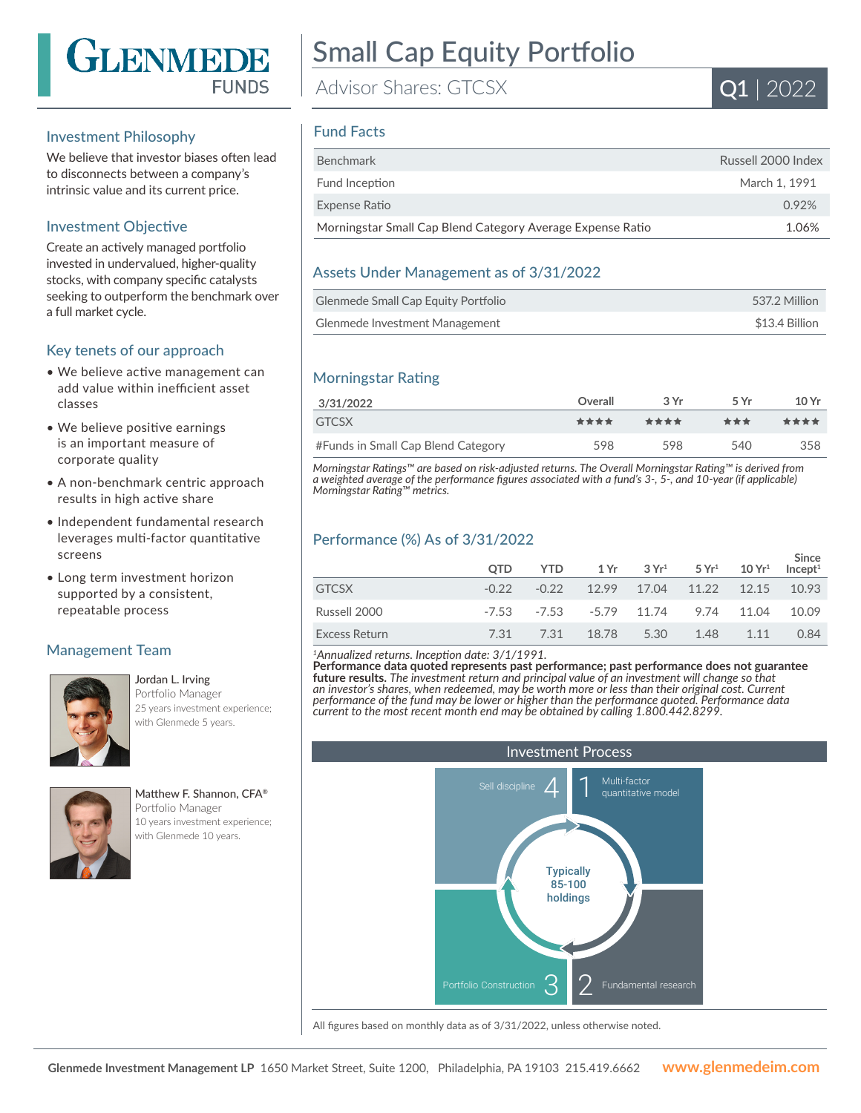

#### Investment Philosophy

We believe that investor biases often lead to disconnects between a company's intrinsic value and its current price.

#### Investment Objective

Create an actively managed portfolio invested in undervalued, higher-quality stocks, with company specific catalysts seeking to outperform the benchmark over a full market cycle.

#### Key tenets of our approach

- We believe active management can add value within inefficient asset classes
- We believe positive earnings is an important measure of corporate quality
- A non-benchmark centric approach results in high active share
- Independent fundamental research leverages multi-factor quantitative screens
- Long term investment horizon supported by a consistent, repeatable process

#### Management Team



#### Jordan L. Irving Portfolio Manager 25 years investment experience; with Glenmede 5 years.

Matthew F. Shannon, CFA® Portfolio Manager 10 years investment experience; with Glenmede 10 years.

# Small Cap Equity Portfolio

Advisor Shares: GTCSX



#### Fund Facts

| <b>Benchmark</b>                                           | Russell 2000 Index |
|------------------------------------------------------------|--------------------|
| Fund Inception                                             | March 1, 1991      |
| Expense Ratio                                              | 0.92%              |
| Morningstar Small Cap Blend Category Average Expense Ratio | 1.06%              |

#### Assets Under Management as of 3/31/2022

| Glenmede Small Cap Equity Portfolio | 537.2 Million  |
|-------------------------------------|----------------|
| Glenmede Investment Management      | \$13.4 Billion |

## Morningstar Rating

| 3/31/2022                          | Overall | 3Yr  | 5 Vr | 10Yr |
|------------------------------------|---------|------|------|------|
| <b>GTCSX</b>                       | ****    | **** | ***  | **** |
| #Funds in Small Cap Blend Category | 598     | 598  | 540  | 358  |

*Morningstar Ratings™ are based on risk-adjusted returns. The Overall Morningstar Rating™ is derived from a weighted average of the performance figures associated with a fund's 3-, 5-, and 10-year (if applicable) Morningstar Rating™ metrics.*

## Performance (%) As of 3/31/2022

|               | <b>OTD</b> | $YTD$ 1 Yr 3 Yr <sup>1</sup> 5 Yr <sup>1</sup> 10 Yr <sup>1</sup> |      |      |       | Since<br>Incept <sup>1</sup> |
|---------------|------------|-------------------------------------------------------------------|------|------|-------|------------------------------|
| <b>GTCSX</b>  | $-0.22$    | $-0.22$ 12.99 17.04 11.22 12.15 10.93                             |      |      |       |                              |
| Russell 2000  |            | $-7.53$ $-7.53$ $-5.79$ $11.74$ $9.74$ $11.04$ $10.09$            |      |      |       |                              |
| Excess Return | 7.31       | 7.31 18.78                                                        | 5.30 | 1.48 | 1 1 1 | 0.84                         |

*<sup>1</sup>Annualized returns. Inception date: 3/1/1991.*

**Performance data quoted represents past performance; past performance does not guarantee future results.** *The investment return and principal value of an investment will change so that an investor's shares, when redeemed, may be worth more or less than their original cost. Current performance of the fund may be lower or higher than the performance quoted. Performance data current to the most recent month end may be obtained by calling 1.800.442.8299.*



All figures based on monthly data as of 3/31/2022, unless otherwise noted.